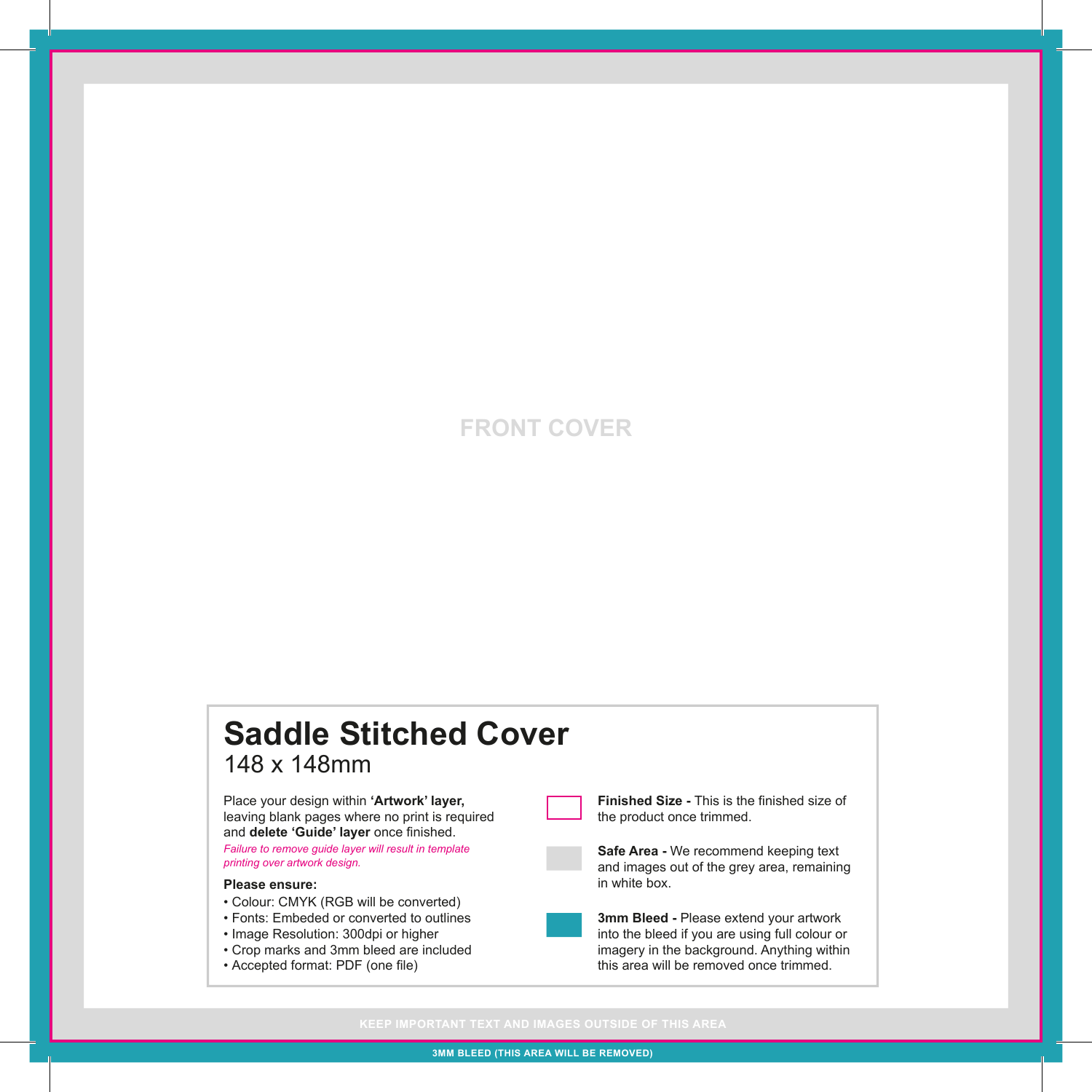### **FRONT COVER**

## **Saddle Stitched Cover** 148 x 148mm

Place your design within **'Artwork' layer,**  leaving blank pages where no print is required and **delete 'Guide' layer** once finished.

*Failure to remove guide layer will result in template printing over artwork design.*

#### **Please ensure:**

- Colour: CMYK (RGB will be converted)
- Fonts: Embeded or converted to outlines
- Image Resolution: 300dpi or higher
- Crop marks and 3mm bleed are included
- Accepted format: PDF (one file)

**Finished Size -** This is the finished size of the product once trimmed.

**Safe Area -** We recommend keeping text and images out of the grey area, remaining in white box.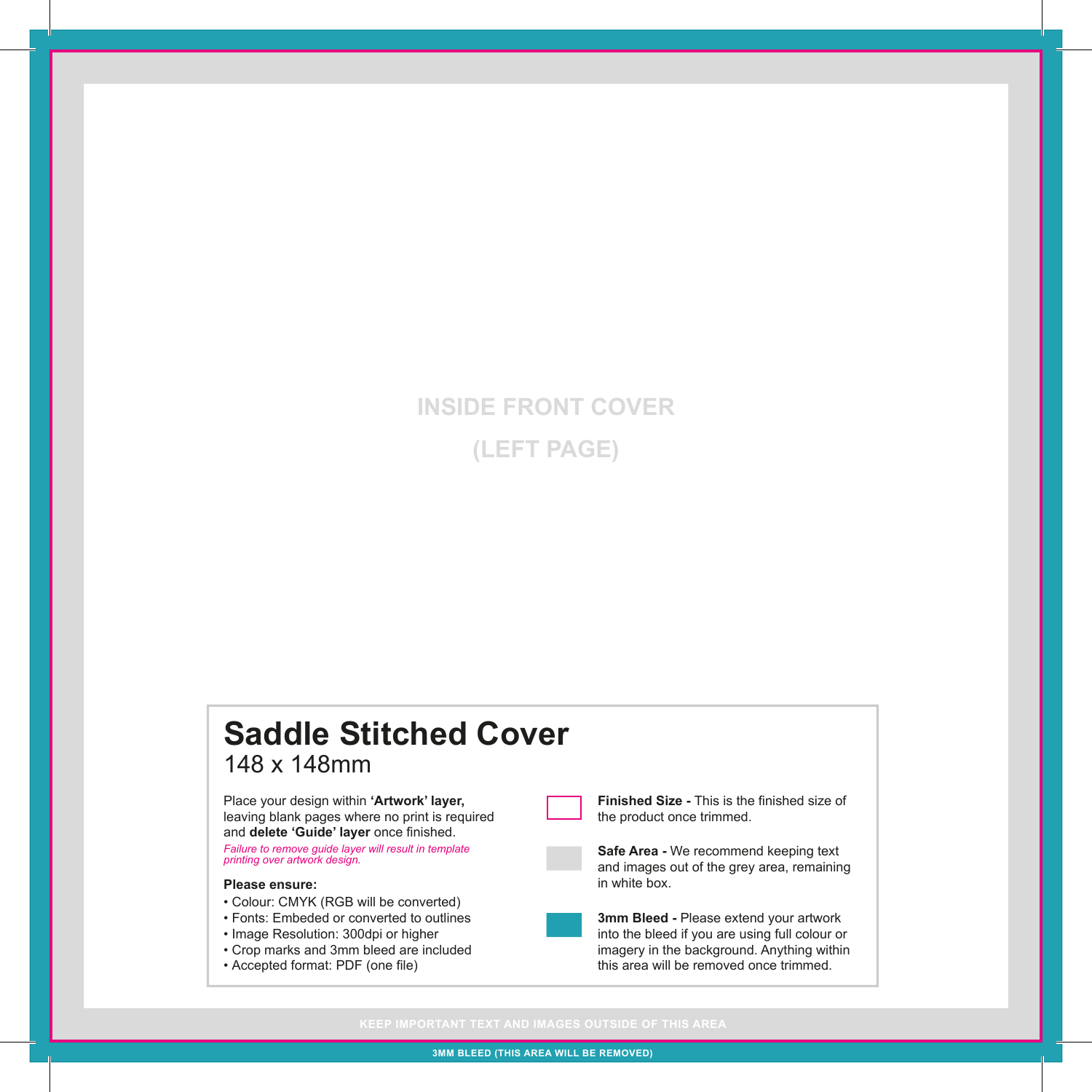# **INSIDE FRONT COVER (LEFT PAGE)**

## **Saddle Stitched Cover** 148 x 148mm

Place your design within **'Artwork' layer,**  leaving blank pages where no print is required and **delete 'Guide' layer** once finished.

*Failure to remove guide layer will result in template printing over artwork design.*

### **Please ensure:**

- Colour: CMYK (RGB will be converted)
- Fonts: Embeded or converted to outlines
- Image Resolution: 300dpi or higher
- Crop marks and 3mm bleed are included
- Accepted format: PDF (one file)



**Finished Size -** This is the finished size of the product once trimmed.

**Safe Area -** We recommend keeping text and images out of the grey area, remaining in white box.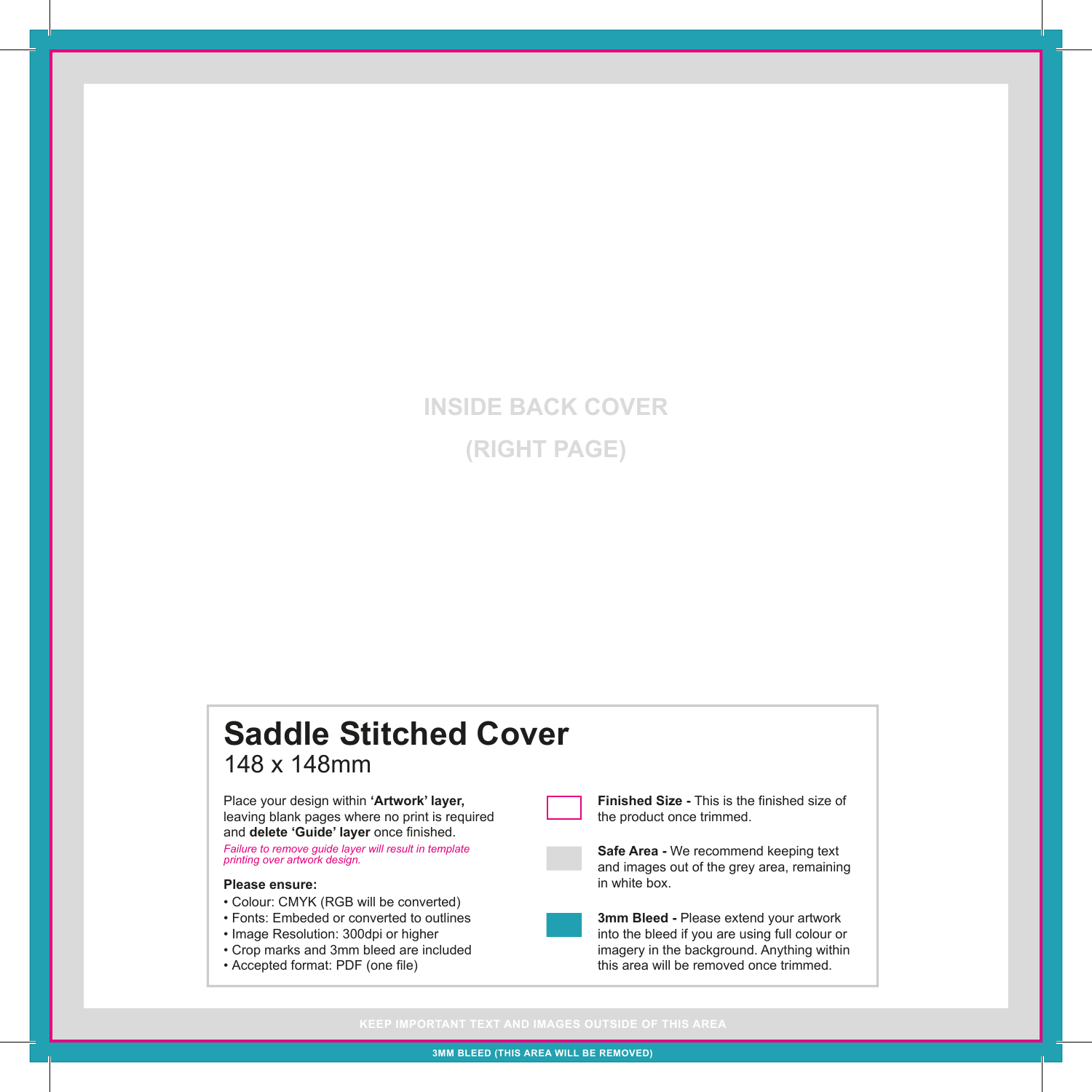# **INSIDE BACK COVER (RIGHT PAGE)**

## **Saddle Stitched Cover** 148 x 148mm

Place your design within **'Artwork' layer,**  leaving blank pages where no print is required and **delete 'Guide' layer** once finished.

*Failure to remove guide layer will result in template printing over artwork design.*

### **Please ensure:**

- Colour: CMYK (RGB will be converted)
- Fonts: Embeded or converted to outlines
- Image Resolution: 300dpi or higher
- Crop marks and 3mm bleed are included
- Accepted format: PDF (one file)



**Finished Size -** This is the finished size of the product once trimmed.

**Safe Area -** We recommend keeping text and images out of the grey area, remaining in white box.